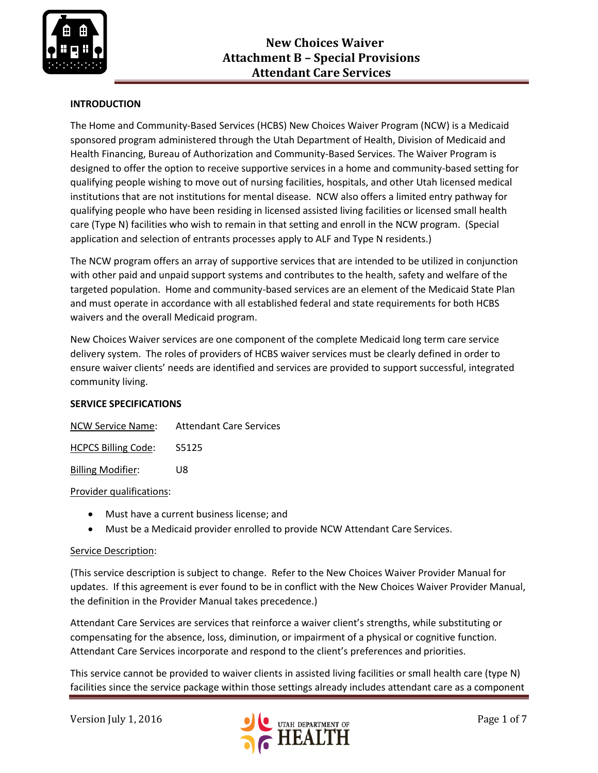

## **INTRODUCTION**

The Home and Community-Based Services (HCBS) New Choices Waiver Program (NCW) is a Medicaid sponsored program administered through the Utah Department of Health, Division of Medicaid and Health Financing, Bureau of Authorization and Community-Based Services. The Waiver Program is designed to offer the option to receive supportive services in a home and community-based setting for qualifying people wishing to move out of nursing facilities, hospitals, and other Utah licensed medical institutions that are not institutions for mental disease. NCW also offers a limited entry pathway for qualifying people who have been residing in licensed assisted living facilities or licensed small health care (Type N) facilities who wish to remain in that setting and enroll in the NCW program. (Special application and selection of entrants processes apply to ALF and Type N residents.)

The NCW program offers an array of supportive services that are intended to be utilized in conjunction with other paid and unpaid support systems and contributes to the health, safety and welfare of the targeted population. Home and community-based services are an element of the Medicaid State Plan and must operate in accordance with all established federal and state requirements for both HCBS waivers and the overall Medicaid program.

New Choices Waiver services are one component of the complete Medicaid long term care service delivery system. The roles of providers of HCBS waiver services must be clearly defined in order to ensure waiver clients' needs are identified and services are provided to support successful, integrated community living.

#### **SERVICE SPECIFICATIONS**

| NCW Service Name:          | <b>Attendant Care Services</b> |
|----------------------------|--------------------------------|
| <b>HCPCS Billing Code:</b> | S5125                          |

Billing Modifier: U8

#### Provider qualifications:

- Must have a current business license; and
- Must be a Medicaid provider enrolled to provide NCW Attendant Care Services.

## Service Description:

(This service description is subject to change. Refer to the New Choices Waiver Provider Manual for updates. If this agreement is ever found to be in conflict with the New Choices Waiver Provider Manual, the definition in the Provider Manual takes precedence.)

Attendant Care Services are services that reinforce a waiver client's strengths, while substituting or compensating for the absence, loss, diminution, or impairment of a physical or cognitive function. Attendant Care Services incorporate and respond to the client's preferences and priorities.

This service cannot be provided to waiver clients in assisted living facilities or small health care (type N) facilities since the service package within those settings already includes attendant care as a component

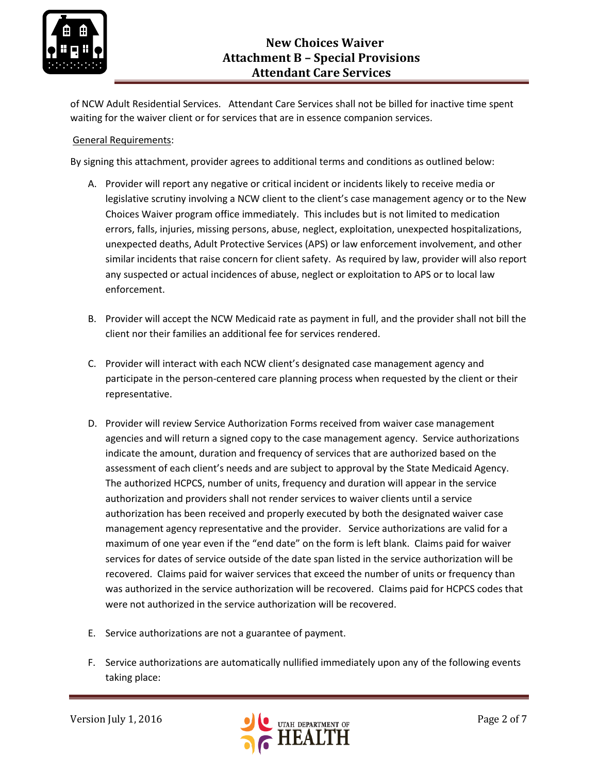

of NCW Adult Residential Services. Attendant Care Services shall not be billed for inactive time spent waiting for the waiver client or for services that are in essence companion services.

#### General Requirements:

By signing this attachment, provider agrees to additional terms and conditions as outlined below:

- A. Provider will report any negative or critical incident or incidents likely to receive media or legislative scrutiny involving a NCW client to the client's case management agency or to the New Choices Waiver program office immediately. This includes but is not limited to medication errors, falls, injuries, missing persons, abuse, neglect, exploitation, unexpected hospitalizations, unexpected deaths, Adult Protective Services (APS) or law enforcement involvement, and other similar incidents that raise concern for client safety. As required by law, provider will also report any suspected or actual incidences of abuse, neglect or exploitation to APS or to local law enforcement.
- B. Provider will accept the NCW Medicaid rate as payment in full, and the provider shall not bill the client nor their families an additional fee for services rendered.
- C. Provider will interact with each NCW client's designated case management agency and participate in the person-centered care planning process when requested by the client or their representative.
- D. Provider will review Service Authorization Forms received from waiver case management agencies and will return a signed copy to the case management agency. Service authorizations indicate the amount, duration and frequency of services that are authorized based on the assessment of each client's needs and are subject to approval by the State Medicaid Agency. The authorized HCPCS, number of units, frequency and duration will appear in the service authorization and providers shall not render services to waiver clients until a service authorization has been received and properly executed by both the designated waiver case management agency representative and the provider. Service authorizations are valid for a maximum of one year even if the "end date" on the form is left blank. Claims paid for waiver services for dates of service outside of the date span listed in the service authorization will be recovered. Claims paid for waiver services that exceed the number of units or frequency than was authorized in the service authorization will be recovered. Claims paid for HCPCS codes that were not authorized in the service authorization will be recovered.
- E. Service authorizations are not a guarantee of payment.
- F. Service authorizations are automatically nullified immediately upon any of the following events taking place:

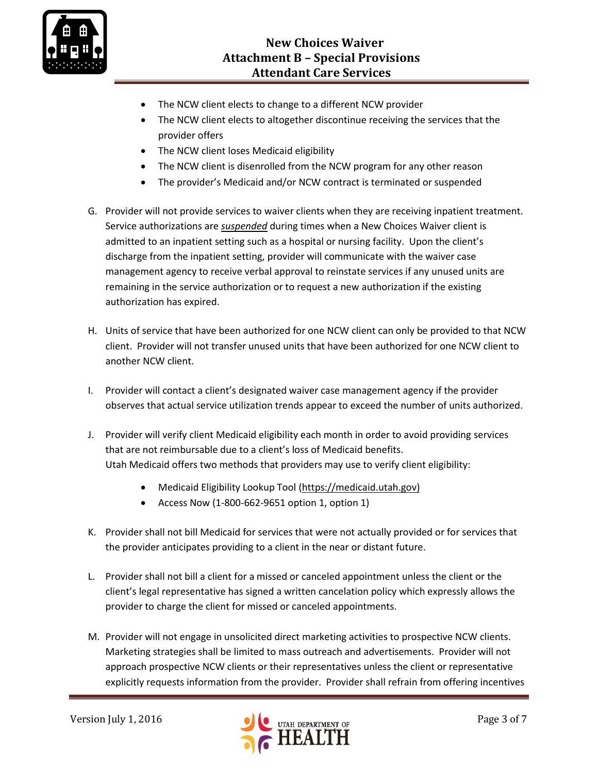

- The NCW client elects to change to a different NCW provider
- The NCW client elects to altogether discontinue receiving the services that the provider offers
- The NCW client loses Medicaid eligibility
- The NCW client is disenrolled from the NCW program for any other reason
- The provider's Medicaid and/or NCW contract is terminated or suspended
- G. Provider will not provide services to waiver clients when they are receiving inpatient treatment. Service authorizations are *suspended* during times when a New Choices Waiver client is admitted to an inpatient setting such as a hospital or nursing facility. Upon the client's discharge from the inpatient setting, provider will communicate with the waiver case management agency to receive verbal approval to reinstate services if any unused units are remaining in the service authorization or to request a new authorization if the existing authorization has expired.
- H. Units of service that have been authorized for one NCW client can only be provided to that NCW client. Provider will not transfer unused units that have been authorized for one NCW client to another NCW client.
- I. Provider will contact a client's designated waiver case management agency if the provider observes that actual service utilization trends appear to exceed the number of units authorized.
- J. Provider will verify client Medicaid eligibility each month in order to avoid providing services that are not reimbursable due to a client's loss of Medicaid benefits. Utah Medicaid offers two methods that providers may use to verify client eligibility:
	- Medicaid Eligibility Lookup Tool [\(https://medicaid.utah.gov\)](https://medicaid.utah.gov/)
	- Access Now (1-800-662-9651 option 1, option 1)
- K. Provider shall not bill Medicaid for services that were not actually provided or for services that the provider anticipates providing to a client in the near or distant future.
- L. Provider shall not bill a client for a missed or canceled appointment unless the client or the client's legal representative has signed a written cancelation policy which expressly allows the provider to charge the client for missed or canceled appointments.
- M. Provider will not engage in unsolicited direct marketing activities to prospective NCW clients. Marketing strategies shall be limited to mass outreach and advertisements. Provider will not approach prospective NCW clients or their representatives unless the client or representative explicitly requests information from the provider. Provider shall refrain from offering incentives

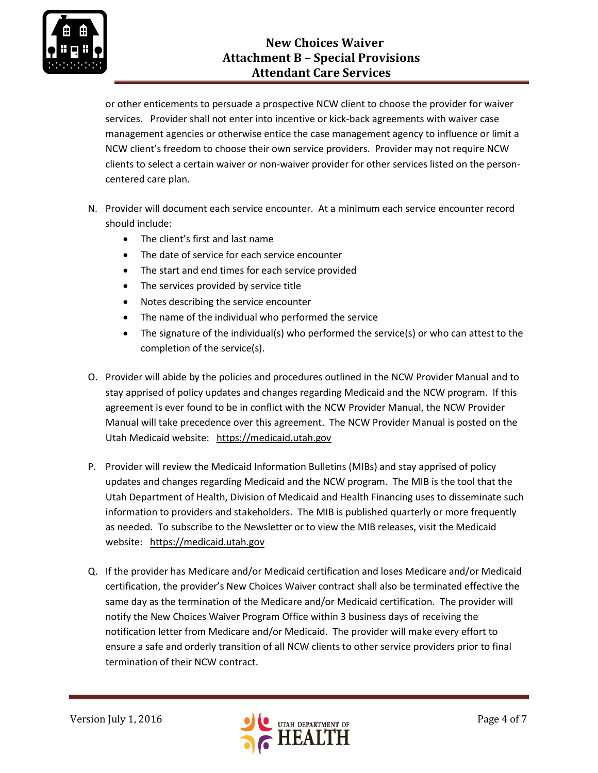

or other enticements to persuade a prospective NCW client to choose the provider for waiver services. Provider shall not enter into incentive or kick-back agreements with waiver case management agencies or otherwise entice the case management agency to influence or limit a NCW client's freedom to choose their own service providers. Provider may not require NCW clients to select a certain waiver or non-waiver provider for other services listed on the personcentered care plan.

- N. Provider will document each service encounter. At a minimum each service encounter record should include:
	- The client's first and last name
	- The date of service for each service encounter
	- The start and end times for each service provided
	- The services provided by service title
	- Notes describing the service encounter
	- The name of the individual who performed the service
	- The signature of the individual(s) who performed the service(s) or who can attest to the completion of the service(s).
- O. Provider will abide by the policies and procedures outlined in the NCW Provider Manual and to stay apprised of policy updates and changes regarding Medicaid and the NCW program. If this agreement is ever found to be in conflict with the NCW Provider Manual, the NCW Provider Manual will take precedence over this agreement. The NCW Provider Manual is posted on the Utah Medicaid website: [https://medicaid.utah.gov](https://medicaid.utah.gov/)
- P. Provider will review the Medicaid Information Bulletins (MIBs) and stay apprised of policy updates and changes regarding Medicaid and the NCW program. The MIB is the tool that the Utah Department of Health, Division of Medicaid and Health Financing uses to disseminate such information to providers and stakeholders. The MIB is published quarterly or more frequently as needed. To subscribe to the Newsletter or to view the MIB releases, visit the Medicaid website: [https://medicaid.utah.gov](https://medicaid.utah.gov/)
- Q. If the provider has Medicare and/or Medicaid certification and loses Medicare and/or Medicaid certification, the provider's New Choices Waiver contract shall also be terminated effective the same day as the termination of the Medicare and/or Medicaid certification. The provider will notify the New Choices Waiver Program Office within 3 business days of receiving the notification letter from Medicare and/or Medicaid. The provider will make every effort to ensure a safe and orderly transition of all NCW clients to other service providers prior to final termination of their NCW contract.

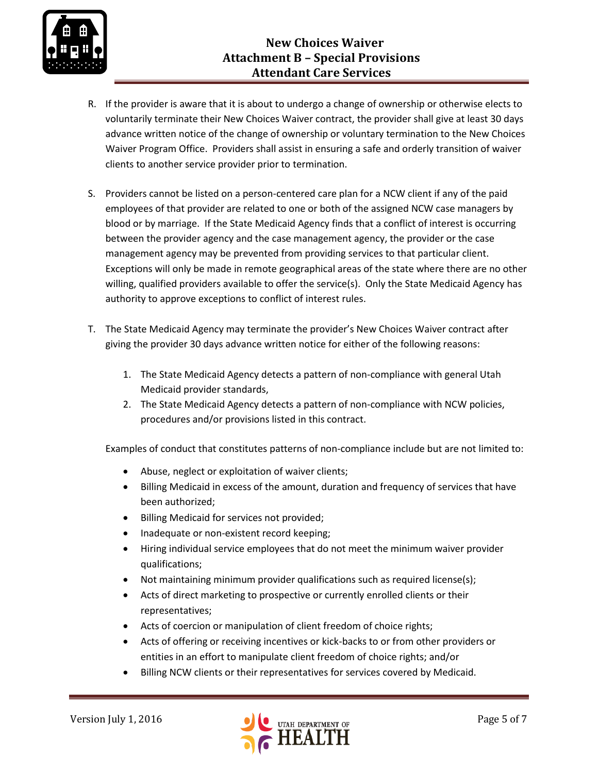

- R. If the provider is aware that it is about to undergo a change of ownership or otherwise elects to voluntarily terminate their New Choices Waiver contract, the provider shall give at least 30 days advance written notice of the change of ownership or voluntary termination to the New Choices Waiver Program Office. Providers shall assist in ensuring a safe and orderly transition of waiver clients to another service provider prior to termination.
- S. Providers cannot be listed on a person-centered care plan for a NCW client if any of the paid employees of that provider are related to one or both of the assigned NCW case managers by blood or by marriage. If the State Medicaid Agency finds that a conflict of interest is occurring between the provider agency and the case management agency, the provider or the case management agency may be prevented from providing services to that particular client. Exceptions will only be made in remote geographical areas of the state where there are no other willing, qualified providers available to offer the service(s). Only the State Medicaid Agency has authority to approve exceptions to conflict of interest rules.
- T. The State Medicaid Agency may terminate the provider's New Choices Waiver contract after giving the provider 30 days advance written notice for either of the following reasons:
	- 1. The State Medicaid Agency detects a pattern of non-compliance with general Utah Medicaid provider standards,
	- 2. The State Medicaid Agency detects a pattern of non-compliance with NCW policies, procedures and/or provisions listed in this contract.

Examples of conduct that constitutes patterns of non-compliance include but are not limited to:

- Abuse, neglect or exploitation of waiver clients;
- Billing Medicaid in excess of the amount, duration and frequency of services that have been authorized;
- Billing Medicaid for services not provided;
- Inadequate or non-existent record keeping;
- Hiring individual service employees that do not meet the minimum waiver provider qualifications;
- Not maintaining minimum provider qualifications such as required license(s);
- Acts of direct marketing to prospective or currently enrolled clients or their representatives;
- Acts of coercion or manipulation of client freedom of choice rights;
- Acts of offering or receiving incentives or kick-backs to or from other providers or entities in an effort to manipulate client freedom of choice rights; and/or
- Billing NCW clients or their representatives for services covered by Medicaid.

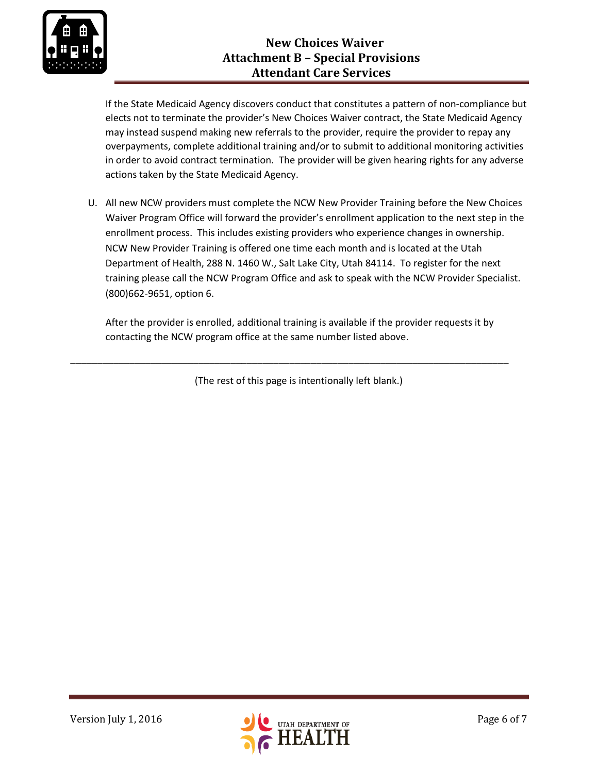

# **New Choices Waiver Attachment B – Special Provisions Attendant Care Services**

If the State Medicaid Agency discovers conduct that constitutes a pattern of non-compliance but elects not to terminate the provider's New Choices Waiver contract, the State Medicaid Agency may instead suspend making new referrals to the provider, require the provider to repay any overpayments, complete additional training and/or to submit to additional monitoring activities in order to avoid contract termination. The provider will be given hearing rights for any adverse actions taken by the State Medicaid Agency.

U. All new NCW providers must complete the NCW New Provider Training before the New Choices Waiver Program Office will forward the provider's enrollment application to the next step in the enrollment process. This includes existing providers who experience changes in ownership. NCW New Provider Training is offered one time each month and is located at the Utah Department of Health, 288 N. 1460 W., Salt Lake City, Utah 84114. To register for the next training please call the NCW Program Office and ask to speak with the NCW Provider Specialist. (800)662-9651, option 6.

After the provider is enrolled, additional training is available if the provider requests it by contacting the NCW program office at the same number listed above.

(The rest of this page is intentionally left blank.)

\_\_\_\_\_\_\_\_\_\_\_\_\_\_\_\_\_\_\_\_\_\_\_\_\_\_\_\_\_\_\_\_\_\_\_\_\_\_\_\_\_\_\_\_\_\_\_\_\_\_\_\_\_\_\_\_\_\_\_\_\_\_\_\_\_\_\_\_\_\_\_\_\_\_\_\_\_\_\_\_\_\_